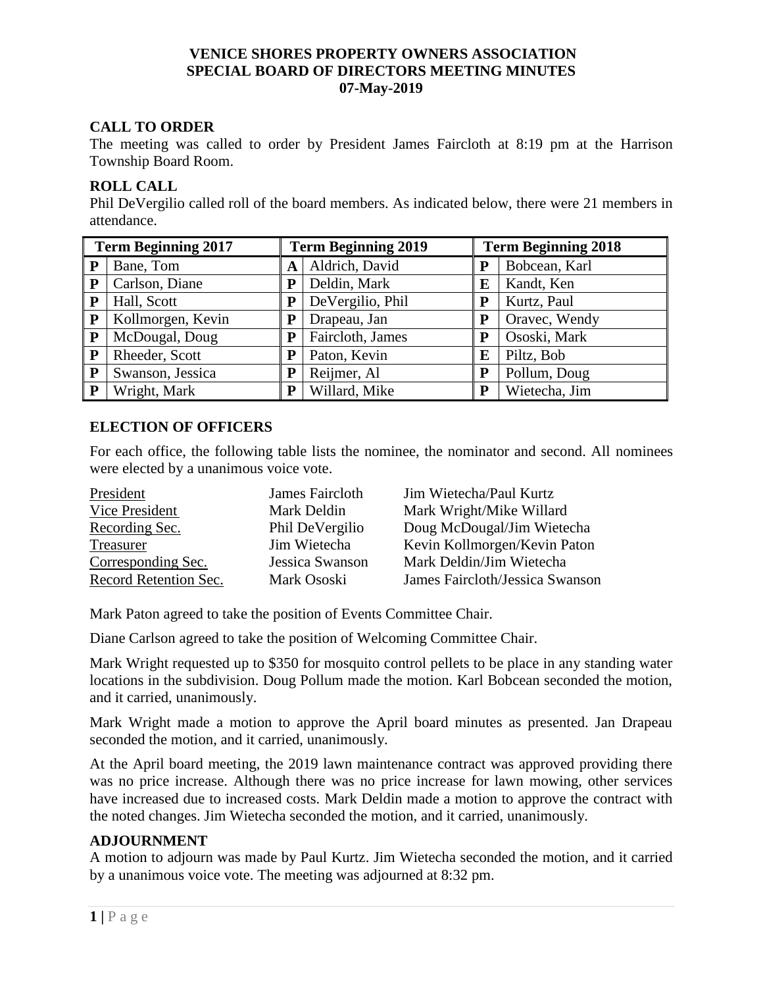### **VENICE SHORES PROPERTY OWNERS ASSOCIATION SPECIAL BOARD OF DIRECTORS MEETING MINUTES 07-May-2019**

## **CALL TO ORDER**

The meeting was called to order by President James Faircloth at 8:19 pm at the Harrison Township Board Room.

### **ROLL CALL**

Phil DeVergilio called roll of the board members. As indicated below, there were 21 members in attendance.

| <b>Term Beginning 2017</b> |                   | <b>Term Beginning 2019</b> |                  | <b>Term Beginning 2018</b> |               |
|----------------------------|-------------------|----------------------------|------------------|----------------------------|---------------|
| P                          | Bane, Tom         | A                          | Aldrich, David   |                            | Bobcean, Karl |
| ${\bf P}$                  | Carlson, Diane    | P                          | Deldin, Mark     | E                          | Kandt, Ken    |
| P                          | Hall, Scott       | ${\bf P}$                  | DeVergilio, Phil | P                          | Kurtz, Paul   |
| P                          | Kollmorgen, Kevin | P                          | Drapeau, Jan     | P                          | Oravec, Wendy |
| P                          | McDougal, Doug    | Р                          | Faircloth, James |                            | Ososki, Mark  |
| ${\bf P}$                  | Rheeder, Scott    | P                          | Paton, Kevin     | E                          | Piltz, Bob    |
| ${\bf P}$                  | Swanson, Jessica  | P                          | Reijmer, Al      | P                          | Pollum, Doug  |
| P                          | Wright, Mark      | P                          | Willard, Mike    | P                          | Wietecha, Jim |

#### **ELECTION OF OFFICERS**

For each office, the following table lists the nominee, the nominator and second. All nominees were elected by a unanimous voice vote.

| President             | James Faircloth | Jim Wietecha/Paul Kurtz         |
|-----------------------|-----------------|---------------------------------|
| Vice President        | Mark Deldin     | Mark Wright/Mike Willard        |
| Recording Sec.        | Phil DeVergilio | Doug McDougal/Jim Wietecha      |
| Treasurer             | Jim Wietecha    | Kevin Kollmorgen/Kevin Paton    |
| Corresponding Sec.    | Jessica Swanson | Mark Deldin/Jim Wietecha        |
| Record Retention Sec. | Mark Ososki     | James Faircloth/Jessica Swanson |

Mark Paton agreed to take the position of Events Committee Chair.

Diane Carlson agreed to take the position of Welcoming Committee Chair.

Mark Wright requested up to \$350 for mosquito control pellets to be place in any standing water locations in the subdivision. Doug Pollum made the motion. Karl Bobcean seconded the motion, and it carried, unanimously.

Mark Wright made a motion to approve the April board minutes as presented. Jan Drapeau seconded the motion, and it carried, unanimously.

At the April board meeting, the 2019 lawn maintenance contract was approved providing there was no price increase. Although there was no price increase for lawn mowing, other services have increased due to increased costs. Mark Deldin made a motion to approve the contract with the noted changes. Jim Wietecha seconded the motion, and it carried, unanimously.

#### **ADJOURNMENT**

A motion to adjourn was made by Paul Kurtz. Jim Wietecha seconded the motion, and it carried by a unanimous voice vote. The meeting was adjourned at 8:32 pm.